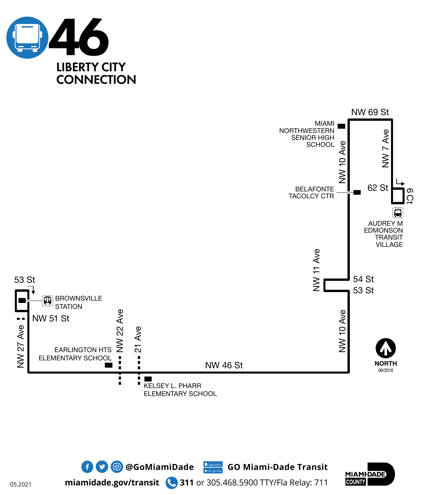







**miamidade.gov/transit 311** or 305.468.5900 TTY/Fla Relay: 711